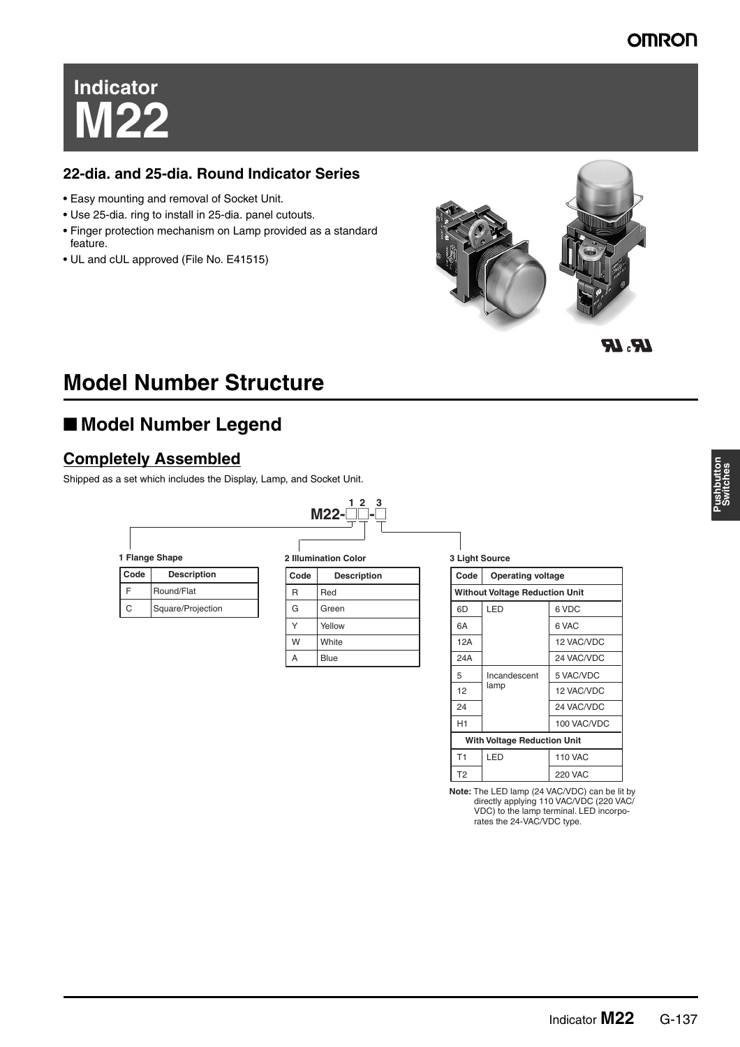#### **OMRON**

# **Indicator M22**

#### **22-dia. and 25-dia. Round Indicator Series**

- Easy mounting and removal of Socket Unit.
- Use 25-dia. ring to install in 25-dia. panel cutouts.
- Finger protection mechanism on Lamp provided as a standard feature.
- UL and cUL approved (File No. E41515)



 $R_{\rm a} R$ 

# **Model Number Structure**

## ■ **Model Number Legend**

#### **Completely Assembled**

Shipped as a set which includes the Display, Lamp, and Socket Unit.



| 1 Flange Shape |  |
|----------------|--|

| Code | <b>Description</b> |  |  |  |
|------|--------------------|--|--|--|
| F    | Round/Flat         |  |  |  |
| C    | Square/Projection  |  |  |  |

**2 Illumination Color**

| Code | <b>Description</b> |  |
|------|--------------------|--|
| R    | Red                |  |
| G    | Green              |  |
| Υ    | Yellow             |  |
| W    | White              |  |
| А    | <b>Blue</b>        |  |
|      |                    |  |

**3 Light Source**

| Code                                  | <b>Operating voltage</b> |                |  |  |  |
|---------------------------------------|--------------------------|----------------|--|--|--|
| <b>Without Voltage Reduction Unit</b> |                          |                |  |  |  |
| 6D                                    | LED<br>6 VDC             |                |  |  |  |
| 6A                                    |                          | 6 VAC          |  |  |  |
| 12A                                   |                          | 12 VAC/VDC     |  |  |  |
| 24A                                   |                          | 24 VAC/VDC     |  |  |  |
| 5                                     | Incandescent             | 5 VAC/VDC      |  |  |  |
| 12                                    | lamp                     | 12 VAC/VDC     |  |  |  |
| 24                                    |                          | 24 VAC/VDC     |  |  |  |
| H1                                    |                          | 100 VAC/VDC    |  |  |  |
| <b>With Voltage Reduction Unit</b>    |                          |                |  |  |  |
| T1                                    | LED                      | <b>110 VAC</b> |  |  |  |
| T <sub>2</sub>                        |                          | <b>220 VAC</b> |  |  |  |

**Note:** The LED lamp (24 VAC/VDC) can be lit by directly applying 110 VAC/VDC (220 VAC/ VDC) to the lamp terminal. LED incorporates the 24-VAC/VDC type.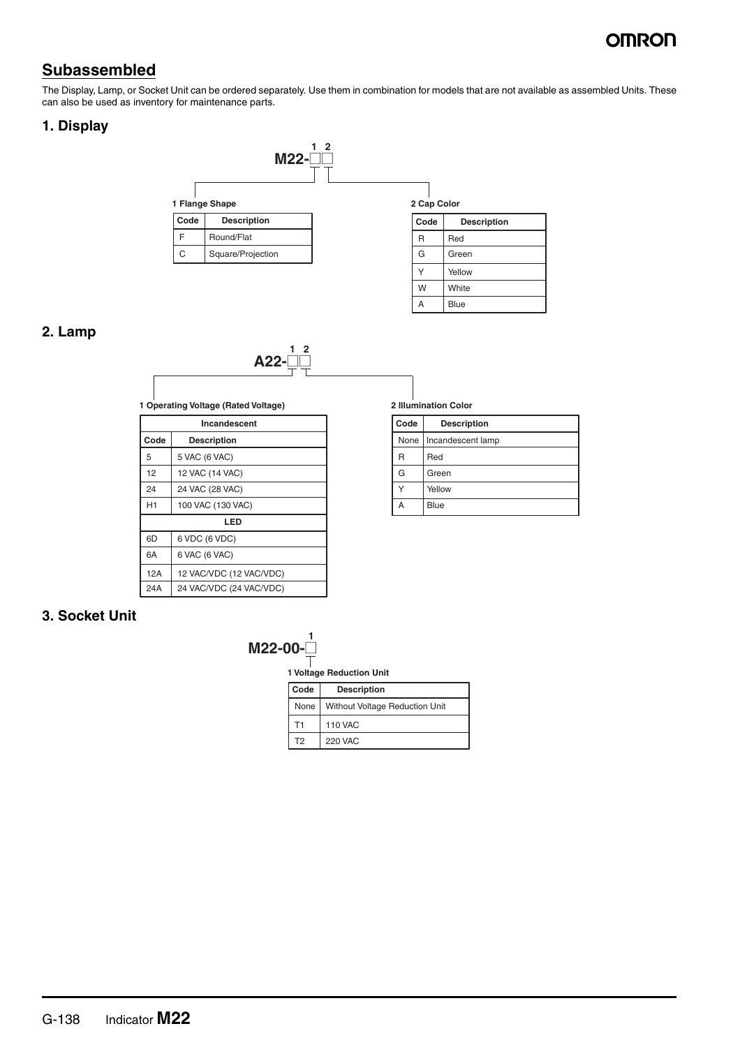### ∩MRON

#### **Subassembled**

The Display, Lamp, or Socket Unit can be ordered separately. Use them in combination for models that are not available as assembled Units. These can also be used as inventory for maintenance parts.

#### **1. Display**



#### **2. Lamp**



**1 Operating Voltage (Rated Voltage)**

| Incandescent |                         |  |  |  |
|--------------|-------------------------|--|--|--|
| Code         | <b>Description</b>      |  |  |  |
| 5            | 5 VAC (6 VAC)           |  |  |  |
| 12           | 12 VAC (14 VAC)         |  |  |  |
| 24           | 24 VAC (28 VAC)         |  |  |  |
| H1           | 100 VAC (130 VAC)       |  |  |  |
| LED          |                         |  |  |  |
| 6D           | 6 VDC (6 VDC)           |  |  |  |
| 6A           | 6 VAC (6 VAC)           |  |  |  |
| 12A          | 12 VAC/VDC (12 VAC/VDC) |  |  |  |
| 24A          | 24 VAC/VDC (24 VAC/VDC) |  |  |  |

#### **2 Illumination Color**

A

Blue

| Code | <b>Description</b>       |  |  |
|------|--------------------------|--|--|
|      | None   Incandescent lamp |  |  |
|      | Red                      |  |  |
| G    | Green                    |  |  |
|      | Yellow                   |  |  |
|      | Blue                     |  |  |

#### **3. Socket Unit**



**1 Voltage Reduction Unit**

| l Code | <b>Description</b>                    |  |  |
|--------|---------------------------------------|--|--|
| None   | <b>Without Voltage Reduction Unit</b> |  |  |
| Т1     | <b>110 VAC</b>                        |  |  |
| T2     | <b>220 VAC</b>                        |  |  |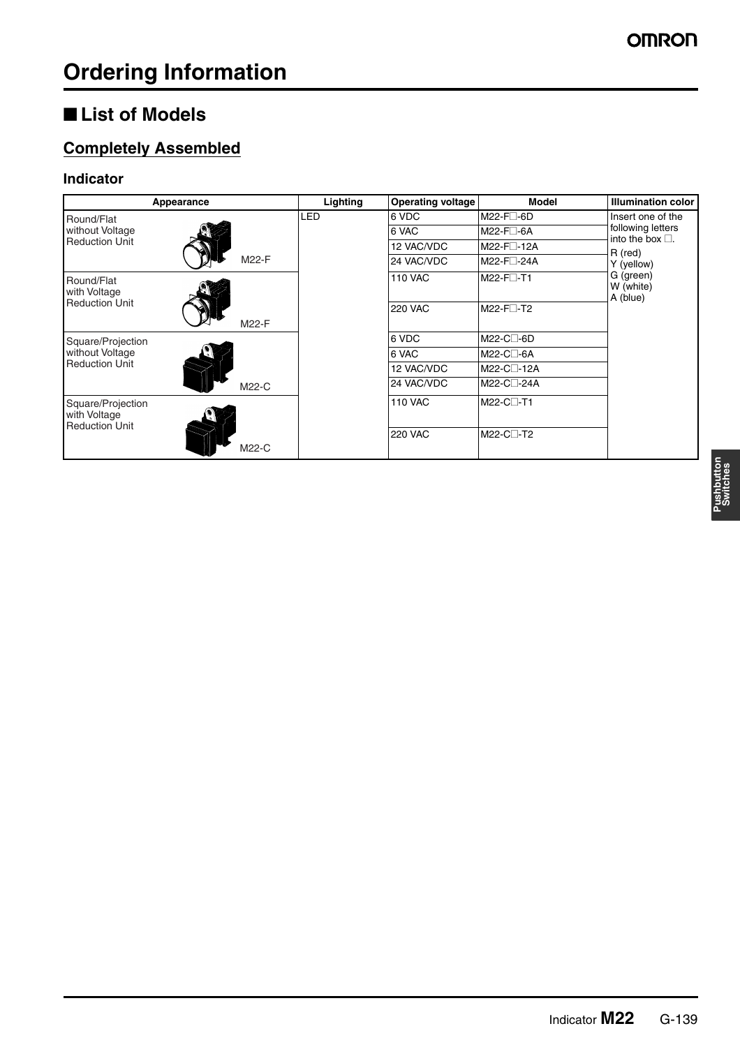### ■ **List of Models**

### **Completely Assembled**

#### **Indicator**

|                                                            | Appearance | Lighting   | <b>Operating voltage</b> | Model                              | <b>Illumination color</b>                     |
|------------------------------------------------------------|------------|------------|--------------------------|------------------------------------|-----------------------------------------------|
| Round/Flat                                                 |            | <b>LED</b> | 6 VDC                    | M22-F□-6D                          | Insert one of the                             |
| without Voltage                                            |            |            | 6 VAC                    | $M22-F \Box -6A$                   | following letters<br>into the box $\square$ . |
| <b>Reduction Unit</b>                                      |            |            | 12 VAC/VDC               | M22-F <sub>12A</sub>               | R (red)                                       |
|                                                            | M22-F      |            | 24 VAC/VDC               | M22-F□-24A                         | Y (yellow)                                    |
| Round/Flat<br>with Voltage                                 |            |            | <b>110 VAC</b>           | M22-F <sub>□</sub> -T1             | G (green)<br>W (white)<br>A (blue)            |
| <b>Reduction Unit</b>                                      | M22-F      |            | <b>220 VAC</b>           | $M22-F$ <sup>-T2</sup>             |                                               |
| Square/Projection                                          |            |            | 6 VDC                    | M22-C□-6D                          |                                               |
| without Voltage                                            |            |            | 6 VAC                    | M22-C□-6A                          |                                               |
| <b>Reduction Unit</b>                                      |            |            | 12 VAC/VDC               | M22-C <sub>1</sub> -12A            |                                               |
|                                                            | M22-C      |            | 24 VAC/VDC               | M22-C <sub>24</sub> A              |                                               |
| Square/Projection<br>with Voltage<br><b>Reduction Unit</b> |            |            | <b>110 VAC</b>           | M22-C <sub>1</sub> -T1             |                                               |
|                                                            | M22-C      |            | <b>220 VAC</b>           | M22-C <sub>1</sub> -T <sub>2</sub> |                                               |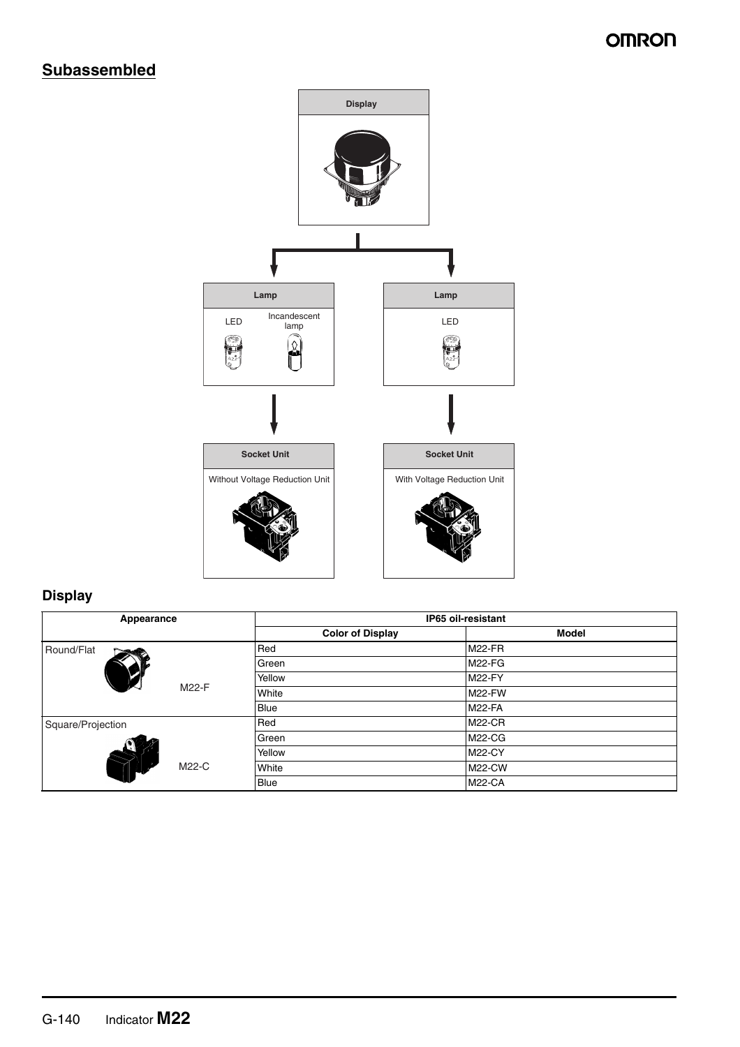#### **OMRON**

#### **Subassembled**



#### **Display**

| Appearance        | IP65 oil-resistant      |               |  |
|-------------------|-------------------------|---------------|--|
|                   | <b>Color of Display</b> | <b>Model</b>  |  |
| Round/Flat        | Red                     | <b>M22-FR</b> |  |
|                   | Green                   | <b>M22-FG</b> |  |
|                   | Yellow                  | <b>M22-FY</b> |  |
| M22-F             | White                   | <b>M22-FW</b> |  |
|                   | <b>Blue</b>             | <b>M22-FA</b> |  |
| Square/Projection | Red                     | <b>M22-CR</b> |  |
|                   | Green                   | <b>M22-CG</b> |  |
|                   | Yellow                  | <b>M22-CY</b> |  |
| M22-C             | White                   | <b>M22-CW</b> |  |
|                   | <b>Blue</b>             | <b>M22-CA</b> |  |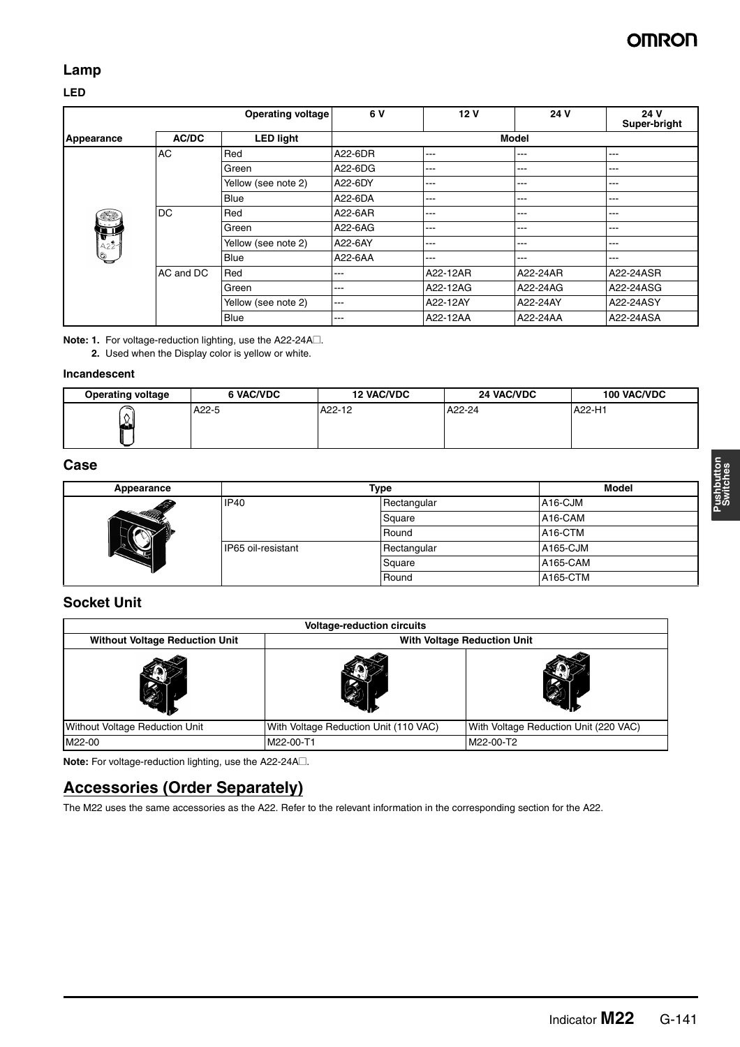#### **Lamp**

#### **LED**

|                 |           | <b>Operating voltage</b> | 6 V               | 12 <sub>V</sub> | 24 V         | 24 V<br>Super-bright |
|-----------------|-----------|--------------------------|-------------------|-----------------|--------------|----------------------|
| Appearance      | AC/DC     | <b>LED light</b>         |                   |                 | <b>Model</b> |                      |
|                 | AC        | Red                      | A22-6DR           | ---             | $---$        | ---                  |
|                 |           | Green                    | A22-6DG           | ---             | ---          | $---$                |
|                 |           | Yellow (see note 2)      | A22-6DY           | ---             | ---          | ---                  |
|                 |           | Blue                     | A22-6DA           | ---             | $---$        | ---                  |
| <u>Filip</u>    | DC        | Red                      | A22-6AR           | ---             | $---$        | ---                  |
| Þ               |           | Green                    | A22-6AG           | ---             | ---          | ---                  |
| $\frac{1}{422}$ |           | Yellow (see note 2)      | A22-6AY           | ---             | $---$        | ---                  |
| Q               |           | <b>Blue</b>              | A22-6AA           | ---             | $---$        | ---                  |
|                 | AC and DC | Red                      | ---               | A22-12AR        | A22-24AR     | A22-24ASR            |
|                 |           | Green                    | ---               | A22-12AG        | A22-24AG     | A22-24ASG            |
|                 |           | Yellow (see note 2)      | $\qquad \qquad -$ | A22-12AY        | A22-24AY     | A22-24ASY            |
|                 |           | Blue                     | ---               | A22-12AA        | A22-24AA     | A22-24ASA            |

**Note: 1.** For voltage-reduction lighting, use the A22-24A□.

**2.** Used when the Display color is yellow or white.

#### **Incandescent**

| <b>Operating voltage</b> | <b>6 VAC/VDC</b> | <b>12 VAC/VDC</b> | 24 VAC/VDC | <b>100 VAC/VDC</b> |
|--------------------------|------------------|-------------------|------------|--------------------|
| ↷<br>↷                   | A22-5            | A22-12            | A22-24     | A22-H1             |

#### **Case**

| Appearance    |                    | Type        |                      |
|---------------|--------------------|-------------|----------------------|
| 爱             | <b>IP40</b>        | Rectangular | A <sub>16</sub> -CJM |
| <b>HUIDEA</b> |                    | Square      | A16-CAM              |
|               |                    | Round       | A <sub>16</sub> -CTM |
|               | IP65 oil-resistant | Rectangular | A165-CJM             |
|               |                    | Square      | A165-CAM             |
|               |                    | Round       | A165-CTM             |

#### **Socket Unit**

| <b>Voltage-reduction circuits</b>     |                                       |                                       |
|---------------------------------------|---------------------------------------|---------------------------------------|
| <b>Without Voltage Reduction Unit</b> | <b>With Voltage Reduction Unit</b>    |                                       |
|                                       |                                       |                                       |
| <b>Without Voltage Reduction Unit</b> | With Voltage Reduction Unit (110 VAC) | With Voltage Reduction Unit (220 VAC) |
| M22-00                                | M22-00-T1                             | M22-00-T2                             |

**Note:** For voltage-reduction lighting, use the A22-24A@.

#### **Accessories (Order Separately)**

The M22 uses the same accessories as the A22. Refer to the relevant information in the corresponding section for the A22.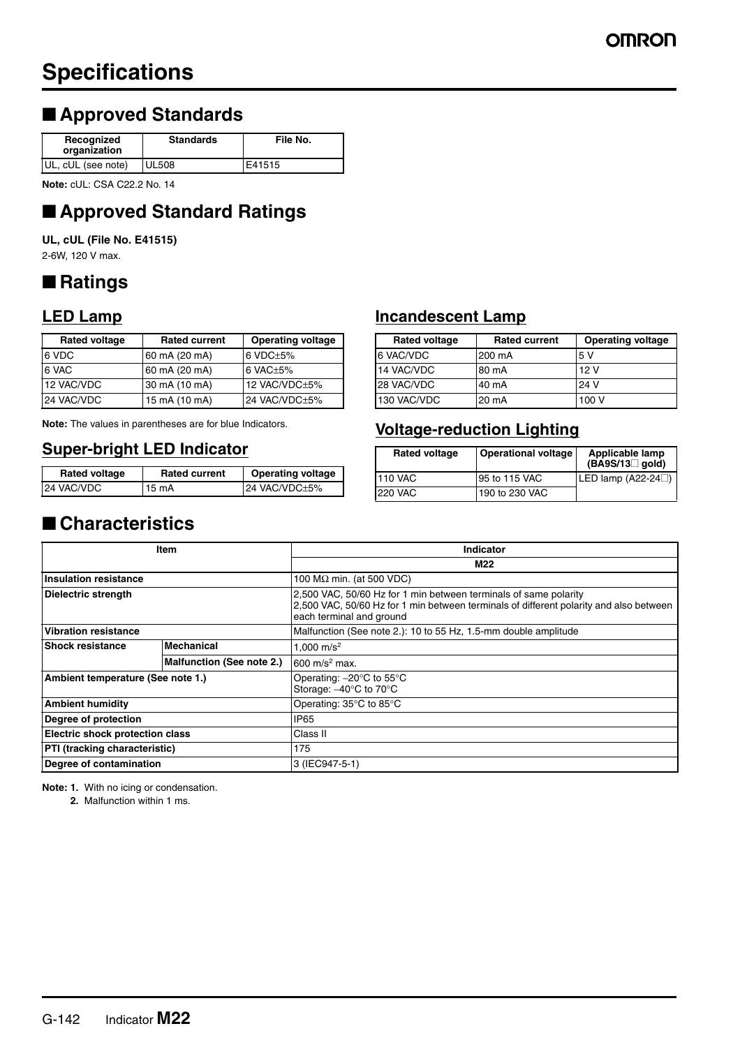# **Specifications**

### ■ **Approved Standards**

| Recognized<br>organization | <b>Standards</b> | File No. |
|----------------------------|------------------|----------|
| UL, cUL (see note)         | <b>UL508</b>     | E41515   |

**Note:** cUL: CSA C22.2 No. 14

# ■ **Approved Standard Ratings**

**UL, cUL (File No. E41515)** 2-6W, 120 V max.

## ■ **Ratings**

#### **LED Lamp**

| <b>Rated voltage</b> | <b>Rated current</b> | <b>Operating voltage</b> |
|----------------------|----------------------|--------------------------|
| 6 VDC                | 60 mA (20 mA)        | $6$ VDC $\pm$ 5%         |
| 6 VAC                | 60 mA (20 mA)        | $6$ VAC $+5\%$           |
| 12 VAC/VDC           | 30 mA (10 mA)        | 12 VAC/VDC±5%            |
| 24 VAC/VDC           | 15 mA (10 mA)        | 24 VAC/VDC+5%            |

**Note:** The values in parentheses are for blue Indicators.

#### **Super-bright LED Indicator**

| <b>Rated voltage</b> | <b>Rated current</b> | <b>Operating voltage</b> |
|----------------------|----------------------|--------------------------|
| 24 VAC/VDC           | 15 mA                | 24 VAC/VDC±5%            |

#### **Incandescent Lamp**

| <b>Rated voltage</b> | <b>Rated current</b> | <b>Operating voltage</b> |
|----------------------|----------------------|--------------------------|
| 6 VAC/VDC            | 200 mA               | 5 V                      |
| 14 VAC/VDC           | 80 mA                | 12V                      |
| 28 VAC/VDC           | 40 mA                | 24 V                     |
| 130 VAC/VDC          | 20 mA                | 100 V                    |

#### **Voltage-reduction Lighting**

| <b>Rated voltage</b> | <b>Operational voltage</b> | Applicable lamp<br>$(BAS/13$ gold) |
|----------------------|----------------------------|------------------------------------|
| 110 VAC              | 95 to 115 VAC              | LED lamp $(A22-24)$                |
| 220 VAC              | 190 to 230 VAC             |                                    |

### ■ **Characteristics**

| Item                              |                           | Indicator                                                                                                                                                                              |
|-----------------------------------|---------------------------|----------------------------------------------------------------------------------------------------------------------------------------------------------------------------------------|
|                                   |                           | M22                                                                                                                                                                                    |
| <b>Insulation resistance</b>      |                           | 100 $M\Omega$ min. (at 500 VDC)                                                                                                                                                        |
| Dielectric strength               |                           | 2,500 VAC, 50/60 Hz for 1 min between terminals of same polarity<br>2,500 VAC, 50/60 Hz for 1 min between terminals of different polarity and also between<br>each terminal and ground |
| <b>Vibration resistance</b>       |                           | Malfunction (See note 2.): 10 to 55 Hz, 1.5-mm double amplitude                                                                                                                        |
| <b>Shock resistance</b>           | <b>Mechanical</b>         | 1.000 $m/s^2$                                                                                                                                                                          |
|                                   | Malfunction (See note 2.) | $600 \text{ m/s}^2 \text{ max}$ .                                                                                                                                                      |
| Ambient temperature (See note 1.) |                           | Operating: $-20^{\circ}$ C to 55 $^{\circ}$ C<br>Storage: -40°C to 70°C                                                                                                                |
| <b>Ambient humidity</b>           |                           | Operating: 35°C to 85°C                                                                                                                                                                |
| Degree of protection              |                           | IP <sub>65</sub>                                                                                                                                                                       |
| Electric shock protection class   |                           | Class II                                                                                                                                                                               |
| PTI (tracking characteristic)     |                           | 175                                                                                                                                                                                    |
| Degree of contamination           |                           | l3 (IEC947-5-1)                                                                                                                                                                        |

**Note: 1.** With no icing or condensation.

**2.** Malfunction within 1 ms.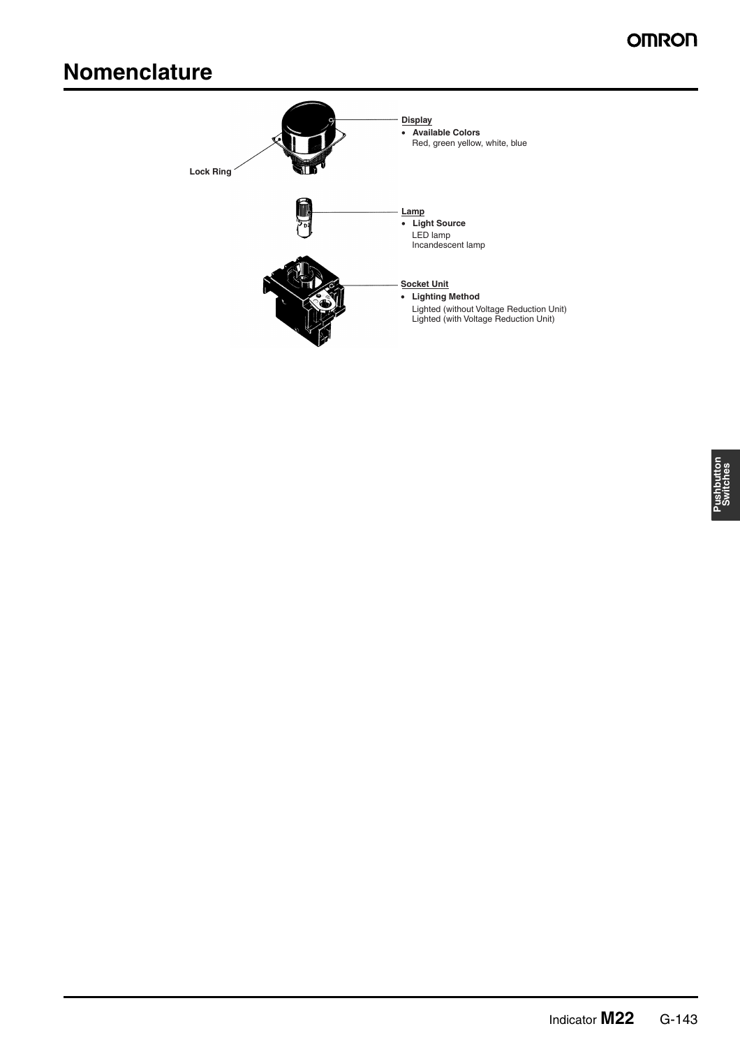# **Nomenclature**